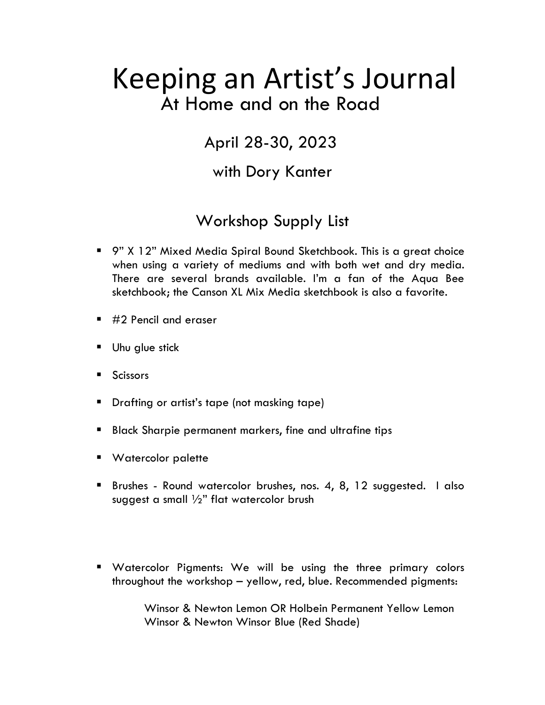# Keeping an Artist's Journal At Home and on the Road

# April 28-30, 2023

### with Dory Kanter

# Workshop Supply List

- 9" X 12" Mixed Media Spiral Bound Sketchbook. This is a great choice when using a variety of mediums and with both wet and dry media. There are several brands available. I'm a fan of the Aqua Bee sketchbook; the Canson XL Mix Media sketchbook is also a favorite.
- $\blacksquare$  #2 Pencil and eraser
- Uhu glue stick
- Scissors
- **•** Drafting or artist's tape (not masking tape)
- Black Sharpie permanent markers, fine and ultrafine tips
- Watercolor palette
- Brushes Round watercolor brushes, nos. 4, 8, 12 suggested. I also suggest a small  $\frac{1}{2}$ " flat watercolor brush
- Watercolor Pigments: We will be using the three primary colors throughout the workshop – yellow, red, blue. Recommended pigments:

Winsor & Newton Lemon OR Holbein Permanent Yellow Lemon Winsor & Newton Winsor Blue (Red Shade)